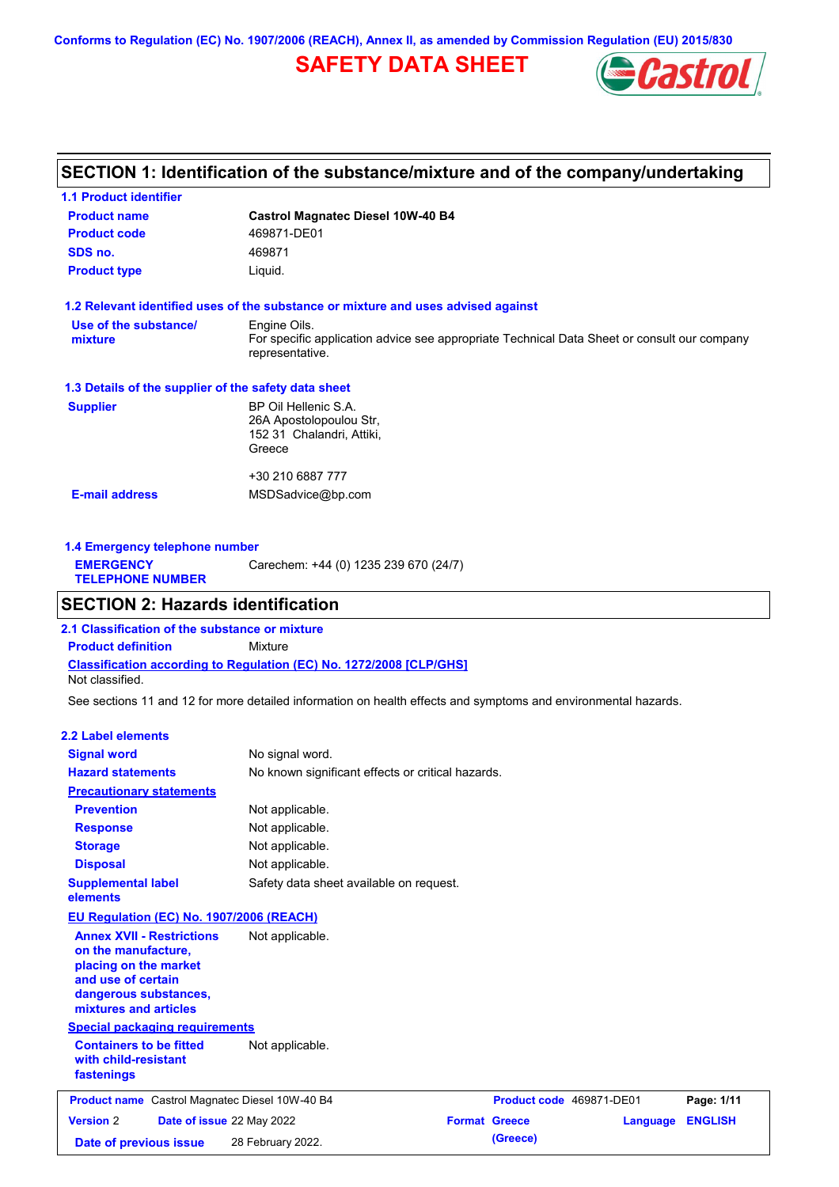**Conforms to Regulation (EC) No. 1907/2006 (REACH), Annex II, as amended by Commission Regulation (EU) 2015/830**

## **SAFETY DATA SHEET**



### **SECTION 1: Identification of the substance/mixture and of the company/undertaking**

| <b>1.1 Product identifier</b>                        |                                                                                                                |
|------------------------------------------------------|----------------------------------------------------------------------------------------------------------------|
| <b>Product name</b>                                  | <b>Castrol Magnatec Diesel 10W-40 B4</b>                                                                       |
| <b>Product code</b>                                  | 469871-DE01                                                                                                    |
| SDS no.                                              | 469871                                                                                                         |
| <b>Product type</b>                                  | Liquid.                                                                                                        |
|                                                      | 1.2 Relevant identified uses of the substance or mixture and uses advised against                              |
| Use of the substance/                                | Engine Oils.                                                                                                   |
| mixture                                              | For specific application advice see appropriate Technical Data Sheet or consult our company<br>representative. |
| 1.3 Details of the supplier of the safety data sheet |                                                                                                                |
| <b>Supplier</b>                                      | BP Oil Hellenic S.A.                                                                                           |
|                                                      | 26A Apostolopoulou Str.                                                                                        |
|                                                      | 152 31 Chalandri, Attiki,                                                                                      |
|                                                      | Greece                                                                                                         |
|                                                      | +30 210 6887 777                                                                                               |
| <b>E-mail address</b>                                | MSDSadvice@bp.com                                                                                              |
|                                                      |                                                                                                                |
|                                                      |                                                                                                                |

| Carechem: +44 (0) 1235 239 670 (24/7)<br><b>EMERGENCY</b><br><b>TELEPHONE NUMBER</b> | 1.4 Emergency telephone number |  |  |  |
|--------------------------------------------------------------------------------------|--------------------------------|--|--|--|
|                                                                                      |                                |  |  |  |

### **SECTION 2: Hazards identification**

**Classification according to Regulation (EC) No. 1272/2008 [CLP/GHS] 2.1 Classification of the substance or mixture Product definition** Mixture Not classified.

See sections 11 and 12 for more detailed information on health effects and symptoms and environmental hazards.

#### **2.2 Label elements**

| <b>Signal word</b>                                                                                                                                       | No signal word.                                   |                      |                          |          |                |
|----------------------------------------------------------------------------------------------------------------------------------------------------------|---------------------------------------------------|----------------------|--------------------------|----------|----------------|
| <b>Hazard statements</b>                                                                                                                                 | No known significant effects or critical hazards. |                      |                          |          |                |
| <b>Precautionary statements</b>                                                                                                                          |                                                   |                      |                          |          |                |
| <b>Prevention</b>                                                                                                                                        | Not applicable.                                   |                      |                          |          |                |
| <b>Response</b>                                                                                                                                          | Not applicable.                                   |                      |                          |          |                |
| <b>Storage</b>                                                                                                                                           | Not applicable.                                   |                      |                          |          |                |
| <b>Disposal</b>                                                                                                                                          | Not applicable.                                   |                      |                          |          |                |
| <b>Supplemental label</b><br>elements                                                                                                                    | Safety data sheet available on request.           |                      |                          |          |                |
| EU Regulation (EC) No. 1907/2006 (REACH)                                                                                                                 |                                                   |                      |                          |          |                |
| <b>Annex XVII - Restrictions</b><br>on the manufacture,<br>placing on the market<br>and use of certain<br>dangerous substances,<br>mixtures and articles | Not applicable.                                   |                      |                          |          |                |
| <b>Special packaging requirements</b>                                                                                                                    |                                                   |                      |                          |          |                |
| <b>Containers to be fitted</b><br>with child-resistant<br>fastenings                                                                                     | Not applicable.                                   |                      |                          |          |                |
| Product name Castrol Magnatec Diesel 10W-40 B4                                                                                                           |                                                   |                      | Product code 469871-DE01 |          | Page: 1/11     |
| <b>Version 2</b><br>Date of issue 22 May 2022                                                                                                            |                                                   | <b>Format Greece</b> |                          | Language | <b>ENGLISH</b> |
| Date of previous issue                                                                                                                                   | 28 February 2022.                                 |                      | (Greece)                 |          |                |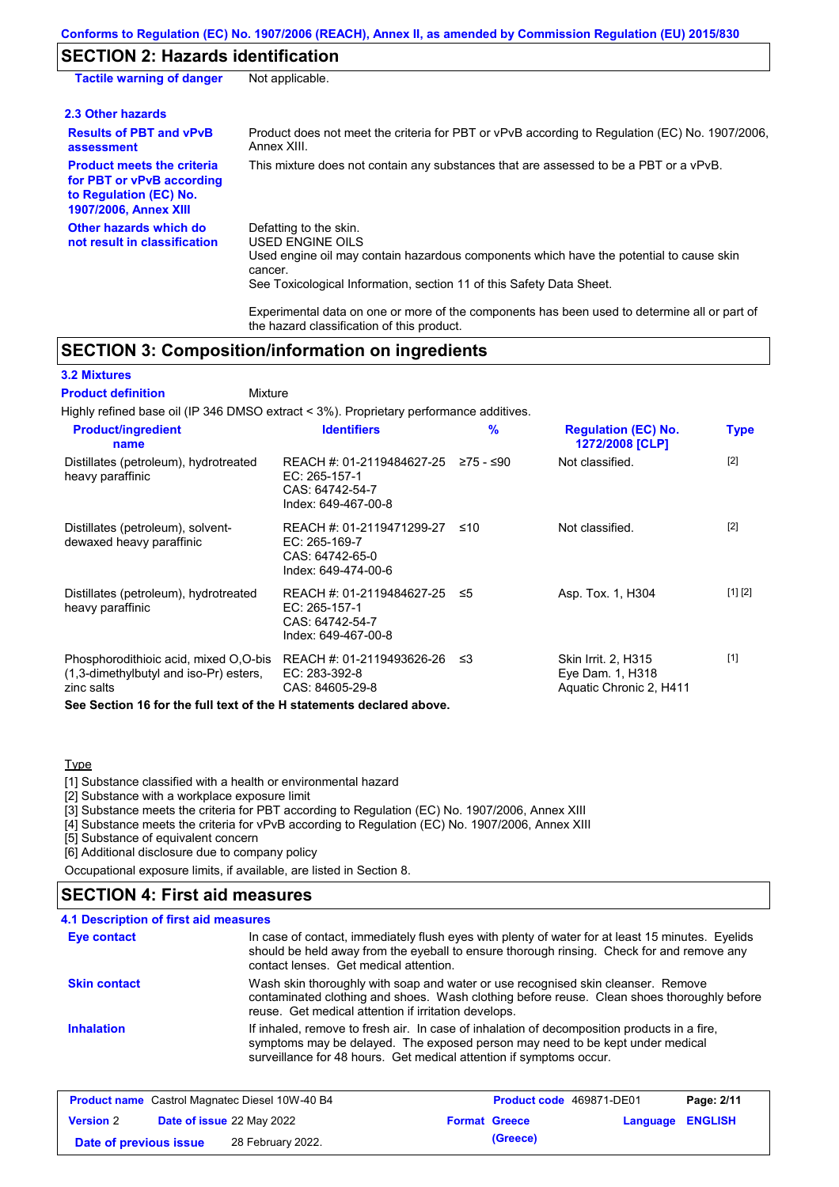## **SECTION 2: Hazards identification**

| <b>Tactile warning of danger</b>                                                                                         | Not applicable.                                                                                                                                                                                                                 |
|--------------------------------------------------------------------------------------------------------------------------|---------------------------------------------------------------------------------------------------------------------------------------------------------------------------------------------------------------------------------|
| 2.3 Other hazards                                                                                                        |                                                                                                                                                                                                                                 |
| <b>Results of PBT and vPvB</b><br>assessment                                                                             | Product does not meet the criteria for PBT or vPvB according to Regulation (EC) No. 1907/2006,<br>Annex XIII.                                                                                                                   |
| <b>Product meets the criteria</b><br>for PBT or vPvB according<br>to Regulation (EC) No.<br><b>1907/2006, Annex XIII</b> | This mixture does not contain any substances that are assessed to be a PBT or a vPvB.                                                                                                                                           |
| Other hazards which do<br>not result in classification                                                                   | Defatting to the skin.<br><b>USED ENGINE OILS</b><br>Used engine oil may contain hazardous components which have the potential to cause skin<br>cancer.<br>See Toxicological Information, section 11 of this Safety Data Sheet. |
|                                                                                                                          | Experimental data on one or more of the components has been used to determine all or part of                                                                                                                                    |

### **SECTION 3: Composition/information on ingredients**

#### **3.2 Mixtures**

#### Mixture **Product definition**

Highly refined base oil (IP 346 DMSO extract < 3%). Proprietary performance additives.

the hazard classification of this product.

| <b>Product/ingredient</b><br>name                                                             | <b>Identifiers</b>                                                                      | $\frac{9}{6}$ | <b>Regulation (EC) No.</b><br>1272/2008 [CLP]                             | <b>Type</b> |
|-----------------------------------------------------------------------------------------------|-----------------------------------------------------------------------------------------|---------------|---------------------------------------------------------------------------|-------------|
| Distillates (petroleum), hydrotreated<br>heavy paraffinic                                     | REACH #: 01-2119484627-25<br>EC: 265-157-1<br>CAS: 64742-54-7<br>Index: 649-467-00-8    | ≥75 - ≤90     | Not classified.                                                           | $[2]$       |
| Distillates (petroleum), solvent-<br>dewaxed heavy paraffinic                                 | REACH #: 01-2119471299-27<br>EC: 265-169-7<br>CAS: 64742-65-0<br>Index: 649-474-00-6    | ≤10           | Not classified.                                                           | $[2]$       |
| Distillates (petroleum), hydrotreated<br>heavy paraffinic                                     | REACH #: 01-2119484627-25 ≤5<br>EC: 265-157-1<br>CAS: 64742-54-7<br>Index: 649-467-00-8 |               | Asp. Tox. 1, H304                                                         | [1] [2]     |
| Phosphorodithioic acid, mixed O,O-bis<br>(1,3-dimethylbutyl and iso-Pr) esters,<br>zinc salts | REACH #: 01-2119493626-26<br>EC: 283-392-8<br>CAS: 84605-29-8                           | ב≥            | <b>Skin Irrit. 2. H315</b><br>Eye Dam. 1, H318<br>Aquatic Chronic 2, H411 | $[1]$       |

**See Section 16 for the full text of the H statements declared above.**

### Type

[1] Substance classified with a health or environmental hazard

[2] Substance with a workplace exposure limit

[3] Substance meets the criteria for PBT according to Regulation (EC) No. 1907/2006, Annex XIII

[4] Substance meets the criteria for vPvB according to Regulation (EC) No. 1907/2006, Annex XIII

[5] Substance of equivalent concern

[6] Additional disclosure due to company policy

Occupational exposure limits, if available, are listed in Section 8.

### **SECTION 4: First aid measures**

### **4.1 Description of first aid measures**

| <b>Eye contact</b>  | In case of contact, immediately flush eyes with plenty of water for at least 15 minutes. Eyelids<br>should be held away from the eyeball to ensure thorough rinsing. Check for and remove any<br>contact lenses. Get medical attention.             |
|---------------------|-----------------------------------------------------------------------------------------------------------------------------------------------------------------------------------------------------------------------------------------------------|
| <b>Skin contact</b> | Wash skin thoroughly with soap and water or use recognised skin cleanser. Remove<br>contaminated clothing and shoes. Wash clothing before reuse. Clean shoes thoroughly before<br>reuse. Get medical attention if irritation develops.              |
| <b>Inhalation</b>   | If inhaled, remove to fresh air. In case of inhalation of decomposition products in a fire,<br>symptoms may be delayed. The exposed person may need to be kept under medical<br>surveillance for 48 hours. Get medical attention if symptoms occur. |

| <b>Product name</b> Castrol Magnatec Diesel 10W-40 B4 |  | Product code 469871-DE01         |  | Page: 2/11           |                         |  |
|-------------------------------------------------------|--|----------------------------------|--|----------------------|-------------------------|--|
| <b>Version 2</b>                                      |  | <b>Date of issue</b> 22 May 2022 |  | <b>Format Greece</b> | <b>Language ENGLISH</b> |  |
| Date of previous issue                                |  | 28 February 2022.                |  | (Greece)             |                         |  |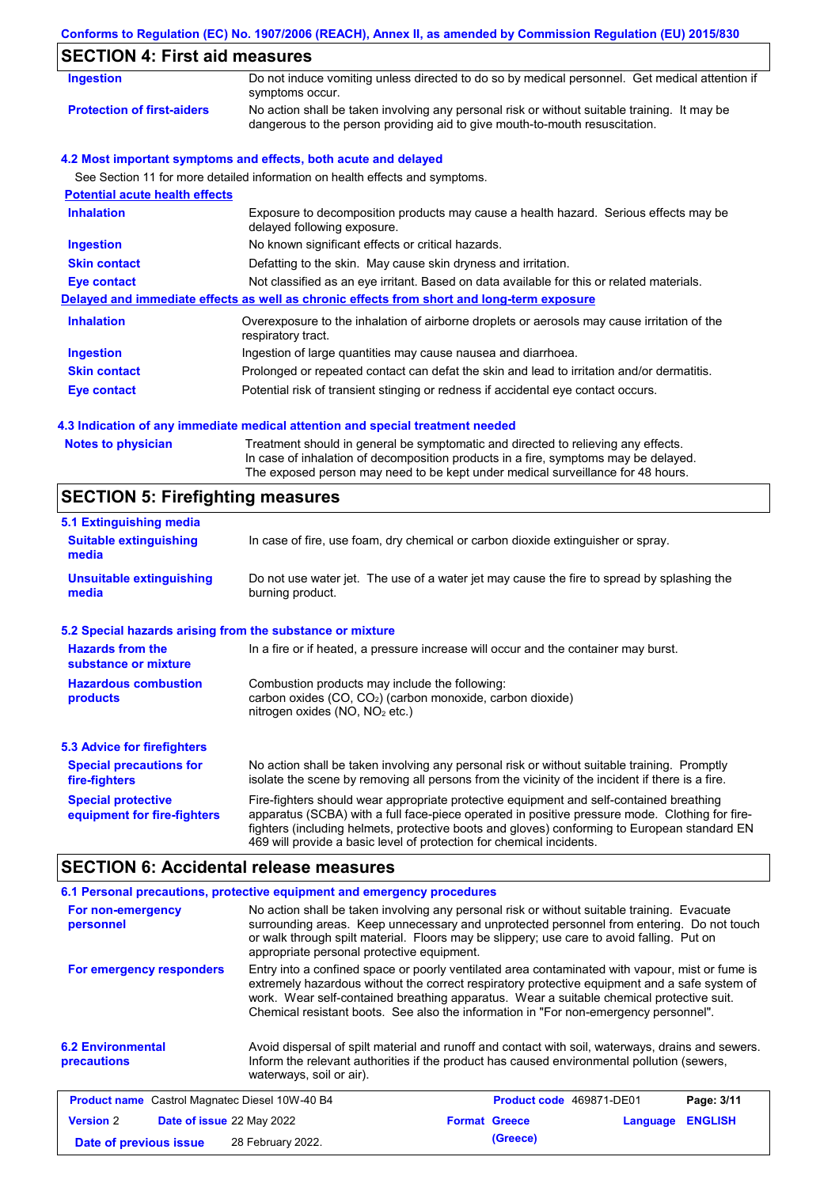### **Conforms to Regulation (EC) No. 1907/2006 (REACH), Annex II, as amended by Commission Regulation (EU) 2015/830**

| <b>Ingestion</b>                      | Do not induce vomiting unless directed to do so by medical personnel. Get medical attention if<br>symptoms occur.                                                           |
|---------------------------------------|-----------------------------------------------------------------------------------------------------------------------------------------------------------------------------|
| <b>Protection of first-aiders</b>     | No action shall be taken involving any personal risk or without suitable training. It may be<br>dangerous to the person providing aid to give mouth-to-mouth resuscitation. |
|                                       | 4.2 Most important symptoms and effects, both acute and delayed                                                                                                             |
|                                       | See Section 11 for more detailed information on health effects and symptoms.                                                                                                |
| <b>Potential acute health effects</b> |                                                                                                                                                                             |
| <b>Inhalation</b>                     | Exposure to decomposition products may cause a health hazard. Serious effects may be<br>delayed following exposure.                                                         |
| <b>Ingestion</b>                      | No known significant effects or critical hazards.                                                                                                                           |
| <b>Skin contact</b>                   | Defatting to the skin. May cause skin dryness and irritation.                                                                                                               |
| Eye contact                           | Not classified as an eye irritant. Based on data available for this or related materials.                                                                                   |
|                                       | Delayed and immediate effects as well as chronic effects from short and long-term exposure                                                                                  |
| <b>Inhalation</b>                     | Overexposure to the inhalation of airborne droplets or aerosols may cause irritation of the<br>respiratory tract.                                                           |
| Ingestion                             | Ingestion of large quantities may cause nausea and diarrhoea.                                                                                                               |
| <b>Skin contact</b>                   | Prolonged or repeated contact can defat the skin and lead to irritation and/or dermatitis.                                                                                  |
| Eye contact                           | Potential risk of transient stinging or redness if accidental eye contact occurs.                                                                                           |

### **4.3 Indication of any immediate medical attention and special treatment needed**

| <b>Notes to physician</b> | Treatment should in general be symptomatic and directed to relieving any effects.   |
|---------------------------|-------------------------------------------------------------------------------------|
|                           | In case of inhalation of decomposition products in a fire, symptoms may be delayed. |
|                           | The exposed person may need to be kept under medical surveillance for 48 hours.     |

# **SECTION 5: Firefighting measures**

| 5.1 Extinguishing media                                   |                                                                                                                                                                                                                                                                                                                                                                   |  |  |  |
|-----------------------------------------------------------|-------------------------------------------------------------------------------------------------------------------------------------------------------------------------------------------------------------------------------------------------------------------------------------------------------------------------------------------------------------------|--|--|--|
| <b>Suitable extinguishing</b><br>media                    | In case of fire, use foam, dry chemical or carbon dioxide extinguisher or spray.                                                                                                                                                                                                                                                                                  |  |  |  |
| <b>Unsuitable extinguishing</b><br>media                  | Do not use water jet. The use of a water jet may cause the fire to spread by splashing the<br>burning product.                                                                                                                                                                                                                                                    |  |  |  |
| 5.2 Special hazards arising from the substance or mixture |                                                                                                                                                                                                                                                                                                                                                                   |  |  |  |
| <b>Hazards from the</b><br>substance or mixture           | In a fire or if heated, a pressure increase will occur and the container may burst.                                                                                                                                                                                                                                                                               |  |  |  |
| <b>Hazardous combustion</b><br>products                   | Combustion products may include the following:<br>carbon oxides $(CO, CO2)$ (carbon monoxide, carbon dioxide)<br>nitrogen oxides ( $NO$ , $NO2$ etc.)                                                                                                                                                                                                             |  |  |  |
| <b>5.3 Advice for firefighters</b>                        |                                                                                                                                                                                                                                                                                                                                                                   |  |  |  |
| <b>Special precautions for</b><br>fire-fighters           | No action shall be taken involving any personal risk or without suitable training. Promptly<br>isolate the scene by removing all persons from the vicinity of the incident if there is a fire.                                                                                                                                                                    |  |  |  |
| <b>Special protective</b><br>equipment for fire-fighters  | Fire-fighters should wear appropriate protective equipment and self-contained breathing<br>apparatus (SCBA) with a full face-piece operated in positive pressure mode. Clothing for fire-<br>fighters (including helmets, protective boots and gloves) conforming to European standard EN<br>469 will provide a basic level of protection for chemical incidents. |  |  |  |

### **SECTION 6: Accidental release measures**

|                                                                                                                                                                                                                                                                                                                                                                                                                  | 6.1 Personal precautions, protective equipment and emergency procedures                                                                                                                                                     |  |                          |          |                |
|------------------------------------------------------------------------------------------------------------------------------------------------------------------------------------------------------------------------------------------------------------------------------------------------------------------------------------------------------------------------------------------------------------------|-----------------------------------------------------------------------------------------------------------------------------------------------------------------------------------------------------------------------------|--|--------------------------|----------|----------------|
| No action shall be taken involving any personal risk or without suitable training. Evacuate<br>For non-emergency<br>surrounding areas. Keep unnecessary and unprotected personnel from entering. Do not touch<br>personnel<br>or walk through spilt material. Floors may be slippery; use care to avoid falling. Put on<br>appropriate personal protective equipment.                                            |                                                                                                                                                                                                                             |  |                          |          |                |
| Entry into a confined space or poorly ventilated area contaminated with vapour, mist or fume is<br>For emergency responders<br>extremely hazardous without the correct respiratory protective equipment and a safe system of<br>work. Wear self-contained breathing apparatus. Wear a suitable chemical protective suit.<br>Chemical resistant boots. See also the information in "For non-emergency personnel". |                                                                                                                                                                                                                             |  |                          |          |                |
| <b>6.2 Environmental</b><br>precautions                                                                                                                                                                                                                                                                                                                                                                          | Avoid dispersal of spilt material and runoff and contact with soil, waterways, drains and sewers.<br>Inform the relevant authorities if the product has caused environmental pollution (sewers,<br>waterways, soil or air). |  |                          |          |                |
| <b>Product name</b> Castrol Magnatec Diesel 10W-40 B4                                                                                                                                                                                                                                                                                                                                                            |                                                                                                                                                                                                                             |  | Product code 469871-DE01 |          | Page: 3/11     |
| <b>Version 2</b><br>Date of issue 22 May 2022                                                                                                                                                                                                                                                                                                                                                                    |                                                                                                                                                                                                                             |  | <b>Format Greece</b>     | Language | <b>ENGLISH</b> |
| Date of previous issue                                                                                                                                                                                                                                                                                                                                                                                           | 28 February 2022.                                                                                                                                                                                                           |  | (Greece)                 |          |                |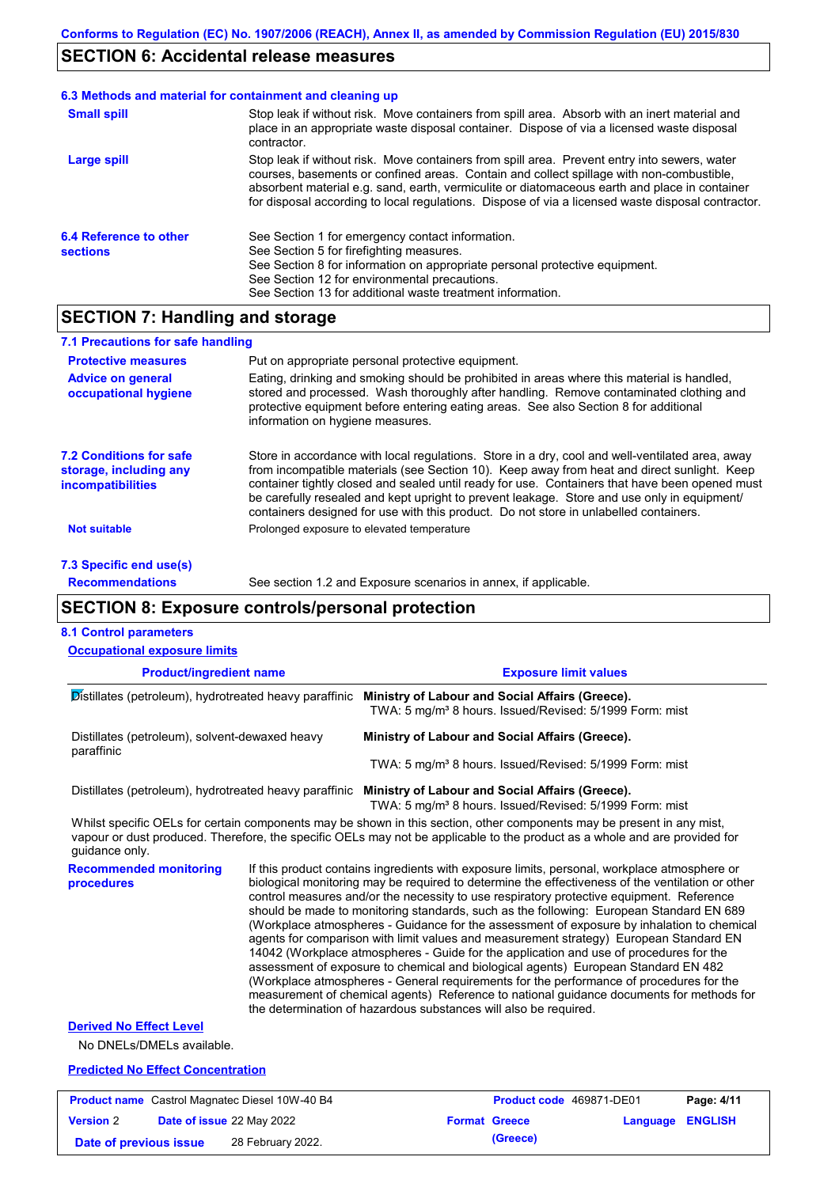### **SECTION 6: Accidental release measures**

#### Stop leak if without risk. Move containers from spill area. Prevent entry into sewers, water courses, basements or confined areas. Contain and collect spillage with non-combustible, absorbent material e.g. sand, earth, vermiculite or diatomaceous earth and place in container for disposal according to local regulations. Dispose of via a licensed waste disposal contractor. **Large spill** Stop leak if without risk. Move containers from spill area. Absorb with an inert material and place in an appropriate waste disposal container. Dispose of via a licensed waste disposal contractor. **Small spill 6.3 Methods and material for containment and cleaning up 6.4 Reference to other sections** See Section 1 for emergency contact information. See Section 5 for firefighting measures. See Section 8 for information on appropriate personal protective equipment. See Section 12 for environmental precautions. See Section 13 for additional waste treatment information.

# **SECTION 7: Handling and storage**

| 7.1 Precautions for safe handling                                                    |                                                                                                                                                                                                                                                                                                                                                                                                                                                                                          |
|--------------------------------------------------------------------------------------|------------------------------------------------------------------------------------------------------------------------------------------------------------------------------------------------------------------------------------------------------------------------------------------------------------------------------------------------------------------------------------------------------------------------------------------------------------------------------------------|
| <b>Protective measures</b>                                                           | Put on appropriate personal protective equipment.                                                                                                                                                                                                                                                                                                                                                                                                                                        |
| <b>Advice on general</b><br>occupational hygiene                                     | Eating, drinking and smoking should be prohibited in areas where this material is handled,<br>stored and processed. Wash thoroughly after handling. Remove contaminated clothing and<br>protective equipment before entering eating areas. See also Section 8 for additional<br>information on hygiene measures.                                                                                                                                                                         |
| <b>7.2 Conditions for safe</b><br>storage, including any<br><b>incompatibilities</b> | Store in accordance with local regulations. Store in a dry, cool and well-ventilated area, away<br>from incompatible materials (see Section 10). Keep away from heat and direct sunlight. Keep<br>container tightly closed and sealed until ready for use. Containers that have been opened must<br>be carefully resealed and kept upright to prevent leakage. Store and use only in equipment/<br>containers designed for use with this product. Do not store in unlabelled containers. |
| <b>Not suitable</b>                                                                  | Prolonged exposure to elevated temperature                                                                                                                                                                                                                                                                                                                                                                                                                                               |
| 7.3 Specific end use(s)                                                              |                                                                                                                                                                                                                                                                                                                                                                                                                                                                                          |

**Recommendations**

See section 1.2 and Exposure scenarios in annex, if applicable.

### **SECTION 8: Exposure controls/personal protection**

#### **8.1 Control parameters**

| <b>Occupational exposure limits</b>                          |  |                                                                                                                                                                                                                                                                                                                                                                                                                                                                                                                                                                                                                                                                                                                                                                                                                                                                                                                                                                                                                            |  |  |
|--------------------------------------------------------------|--|----------------------------------------------------------------------------------------------------------------------------------------------------------------------------------------------------------------------------------------------------------------------------------------------------------------------------------------------------------------------------------------------------------------------------------------------------------------------------------------------------------------------------------------------------------------------------------------------------------------------------------------------------------------------------------------------------------------------------------------------------------------------------------------------------------------------------------------------------------------------------------------------------------------------------------------------------------------------------------------------------------------------------|--|--|
| <b>Product/ingredient name</b>                               |  | <b>Exposure limit values</b>                                                                                                                                                                                                                                                                                                                                                                                                                                                                                                                                                                                                                                                                                                                                                                                                                                                                                                                                                                                               |  |  |
| Distillates (petroleum), hydrotreated heavy paraffinic       |  | Ministry of Labour and Social Affairs (Greece).<br>TWA: 5 mg/m <sup>3</sup> 8 hours. Issued/Revised: 5/1999 Form: mist                                                                                                                                                                                                                                                                                                                                                                                                                                                                                                                                                                                                                                                                                                                                                                                                                                                                                                     |  |  |
| Distillates (petroleum), solvent-dewaxed heavy<br>paraffinic |  | Ministry of Labour and Social Affairs (Greece).                                                                                                                                                                                                                                                                                                                                                                                                                                                                                                                                                                                                                                                                                                                                                                                                                                                                                                                                                                            |  |  |
|                                                              |  | TWA: 5 mg/m <sup>3</sup> 8 hours. Issued/Revised: 5/1999 Form: mist                                                                                                                                                                                                                                                                                                                                                                                                                                                                                                                                                                                                                                                                                                                                                                                                                                                                                                                                                        |  |  |
|                                                              |  | Distillates (petroleum), hydrotreated heavy paraffinic Ministry of Labour and Social Affairs (Greece).<br>TWA: 5 mg/m <sup>3</sup> 8 hours. Issued/Revised: 5/1999 Form: mist                                                                                                                                                                                                                                                                                                                                                                                                                                                                                                                                                                                                                                                                                                                                                                                                                                              |  |  |
| quidance only.                                               |  | Whilst specific OELs for certain components may be shown in this section, other components may be present in any mist,<br>vapour or dust produced. Therefore, the specific OELs may not be applicable to the product as a whole and are provided for                                                                                                                                                                                                                                                                                                                                                                                                                                                                                                                                                                                                                                                                                                                                                                       |  |  |
| <b>Recommended monitoring</b><br>procedures                  |  | If this product contains ingredients with exposure limits, personal, workplace atmosphere or<br>biological monitoring may be required to determine the effectiveness of the ventilation or other<br>control measures and/or the necessity to use respiratory protective equipment. Reference<br>should be made to monitoring standards, such as the following: European Standard EN 689<br>(Workplace atmospheres - Guidance for the assessment of exposure by inhalation to chemical<br>agents for comparison with limit values and measurement strategy) European Standard EN<br>14042 (Workplace atmospheres - Guide for the application and use of procedures for the<br>assessment of exposure to chemical and biological agents) European Standard EN 482<br>(Workplace atmospheres - General requirements for the performance of procedures for the<br>measurement of chemical agents) Reference to national guidance documents for methods for<br>the determination of hazardous substances will also be required. |  |  |
| <b>Derived No Effect Level</b><br>No DNELs/DMELs available.  |  |                                                                                                                                                                                                                                                                                                                                                                                                                                                                                                                                                                                                                                                                                                                                                                                                                                                                                                                                                                                                                            |  |  |
| <b>Predicted No Effect Concentration</b>                     |  |                                                                                                                                                                                                                                                                                                                                                                                                                                                                                                                                                                                                                                                                                                                                                                                                                                                                                                                                                                                                                            |  |  |

| <b>Product name</b> Castrol Magnatec Diesel 10W-40 B4 |  |                   |                      | <b>Product code</b> 469871-DE01 |  |  |
|-------------------------------------------------------|--|-------------------|----------------------|---------------------------------|--|--|
| <b>Date of issue 22 May 2022</b><br><b>Version 2</b>  |  |                   | <b>Format Greece</b> | <b>Language ENGLISH</b>         |  |  |
| Date of previous issue                                |  | 28 February 2022. |                      | (Greece)                        |  |  |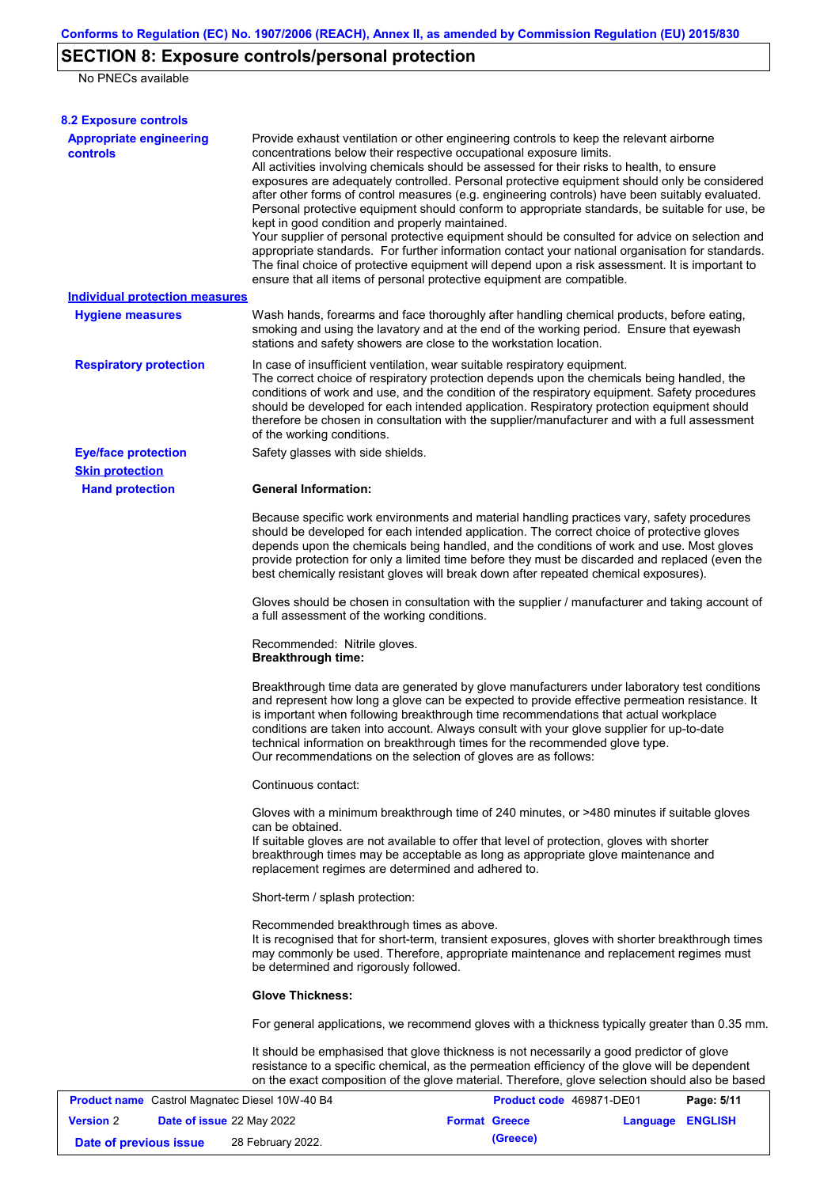# **SECTION 8: Exposure controls/personal protection**

No PNECs available

| <b>8.2 Exposure controls</b>                          |                                                                                                                                                                                                                                                                                                                                                                                                                                                                                                                                                                                                                                                                                                                                                                                                                                                                                                                                                                                                         |                          |                  |            |
|-------------------------------------------------------|---------------------------------------------------------------------------------------------------------------------------------------------------------------------------------------------------------------------------------------------------------------------------------------------------------------------------------------------------------------------------------------------------------------------------------------------------------------------------------------------------------------------------------------------------------------------------------------------------------------------------------------------------------------------------------------------------------------------------------------------------------------------------------------------------------------------------------------------------------------------------------------------------------------------------------------------------------------------------------------------------------|--------------------------|------------------|------------|
| <b>Appropriate engineering</b><br><b>controls</b>     | Provide exhaust ventilation or other engineering controls to keep the relevant airborne<br>concentrations below their respective occupational exposure limits.<br>All activities involving chemicals should be assessed for their risks to health, to ensure<br>exposures are adequately controlled. Personal protective equipment should only be considered<br>after other forms of control measures (e.g. engineering controls) have been suitably evaluated.<br>Personal protective equipment should conform to appropriate standards, be suitable for use, be<br>kept in good condition and properly maintained.<br>Your supplier of personal protective equipment should be consulted for advice on selection and<br>appropriate standards. For further information contact your national organisation for standards.<br>The final choice of protective equipment will depend upon a risk assessment. It is important to<br>ensure that all items of personal protective equipment are compatible. |                          |                  |            |
| <b>Individual protection measures</b>                 |                                                                                                                                                                                                                                                                                                                                                                                                                                                                                                                                                                                                                                                                                                                                                                                                                                                                                                                                                                                                         |                          |                  |            |
| <b>Hygiene measures</b>                               | Wash hands, forearms and face thoroughly after handling chemical products, before eating,<br>smoking and using the lavatory and at the end of the working period. Ensure that eyewash<br>stations and safety showers are close to the workstation location.                                                                                                                                                                                                                                                                                                                                                                                                                                                                                                                                                                                                                                                                                                                                             |                          |                  |            |
| <b>Respiratory protection</b>                         | In case of insufficient ventilation, wear suitable respiratory equipment.<br>The correct choice of respiratory protection depends upon the chemicals being handled, the<br>conditions of work and use, and the condition of the respiratory equipment. Safety procedures<br>should be developed for each intended application. Respiratory protection equipment should<br>therefore be chosen in consultation with the supplier/manufacturer and with a full assessment<br>of the working conditions.                                                                                                                                                                                                                                                                                                                                                                                                                                                                                                   |                          |                  |            |
| <b>Eye/face protection</b>                            | Safety glasses with side shields.                                                                                                                                                                                                                                                                                                                                                                                                                                                                                                                                                                                                                                                                                                                                                                                                                                                                                                                                                                       |                          |                  |            |
| <b>Skin protection</b>                                |                                                                                                                                                                                                                                                                                                                                                                                                                                                                                                                                                                                                                                                                                                                                                                                                                                                                                                                                                                                                         |                          |                  |            |
|                                                       | Because specific work environments and material handling practices vary, safety procedures<br>should be developed for each intended application. The correct choice of protective gloves<br>depends upon the chemicals being handled, and the conditions of work and use. Most gloves<br>provide protection for only a limited time before they must be discarded and replaced (even the<br>best chemically resistant gloves will break down after repeated chemical exposures).                                                                                                                                                                                                                                                                                                                                                                                                                                                                                                                        |                          |                  |            |
|                                                       | Gloves should be chosen in consultation with the supplier / manufacturer and taking account of<br>a full assessment of the working conditions.                                                                                                                                                                                                                                                                                                                                                                                                                                                                                                                                                                                                                                                                                                                                                                                                                                                          |                          |                  |            |
|                                                       | Recommended: Nitrile gloves.<br><b>Breakthrough time:</b>                                                                                                                                                                                                                                                                                                                                                                                                                                                                                                                                                                                                                                                                                                                                                                                                                                                                                                                                               |                          |                  |            |
|                                                       | Breakthrough time data are generated by glove manufacturers under laboratory test conditions<br>and represent how long a glove can be expected to provide effective permeation resistance. It<br>is important when following breakthrough time recommendations that actual workplace<br>conditions are taken into account. Always consult with your glove supplier for up-to-date<br>technical information on breakthrough times for the recommended glove type.<br>Our recommendations on the selection of gloves are as follows:                                                                                                                                                                                                                                                                                                                                                                                                                                                                      |                          |                  |            |
|                                                       | Continuous contact:                                                                                                                                                                                                                                                                                                                                                                                                                                                                                                                                                                                                                                                                                                                                                                                                                                                                                                                                                                                     |                          |                  |            |
|                                                       | Gloves with a minimum breakthrough time of 240 minutes, or >480 minutes if suitable gloves<br>can be obtained.<br>If suitable gloves are not available to offer that level of protection, gloves with shorter<br>breakthrough times may be acceptable as long as appropriate glove maintenance and<br>replacement regimes are determined and adhered to.                                                                                                                                                                                                                                                                                                                                                                                                                                                                                                                                                                                                                                                |                          |                  |            |
|                                                       | Short-term / splash protection:                                                                                                                                                                                                                                                                                                                                                                                                                                                                                                                                                                                                                                                                                                                                                                                                                                                                                                                                                                         |                          |                  |            |
|                                                       | Recommended breakthrough times as above.<br>It is recognised that for short-term, transient exposures, gloves with shorter breakthrough times<br>may commonly be used. Therefore, appropriate maintenance and replacement regimes must<br>be determined and rigorously followed.                                                                                                                                                                                                                                                                                                                                                                                                                                                                                                                                                                                                                                                                                                                        |                          |                  |            |
|                                                       | <b>Glove Thickness:</b>                                                                                                                                                                                                                                                                                                                                                                                                                                                                                                                                                                                                                                                                                                                                                                                                                                                                                                                                                                                 |                          |                  |            |
|                                                       | For general applications, we recommend gloves with a thickness typically greater than 0.35 mm.                                                                                                                                                                                                                                                                                                                                                                                                                                                                                                                                                                                                                                                                                                                                                                                                                                                                                                          |                          |                  |            |
|                                                       | It should be emphasised that glove thickness is not necessarily a good predictor of glove<br>resistance to a specific chemical, as the permeation efficiency of the glove will be dependent<br>on the exact composition of the glove material. Therefore, glove selection should also be based                                                                                                                                                                                                                                                                                                                                                                                                                                                                                                                                                                                                                                                                                                          |                          |                  |            |
| <b>Product name</b> Castrol Magnatec Diesel 10W-40 B4 |                                                                                                                                                                                                                                                                                                                                                                                                                                                                                                                                                                                                                                                                                                                                                                                                                                                                                                                                                                                                         | Product code 469871-DE01 |                  | Page: 5/11 |
| <b>Version 2</b><br>Date of issue 22 May 2022         |                                                                                                                                                                                                                                                                                                                                                                                                                                                                                                                                                                                                                                                                                                                                                                                                                                                                                                                                                                                                         | <b>Format Greece</b>     | Language ENGLISH |            |

**Date of previous issue** 28 February 2022.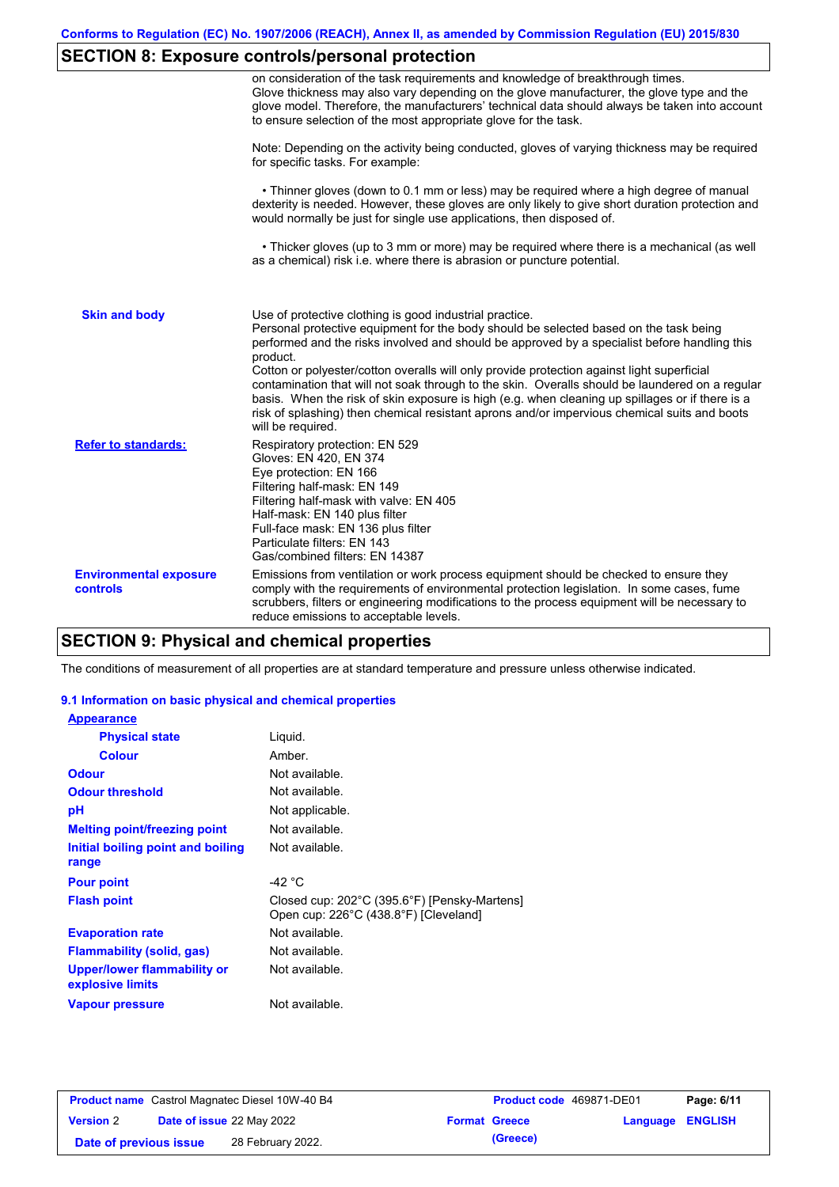# **SECTION 8: Exposure controls/personal protection**

|                                           | on consideration of the task requirements and knowledge of breakthrough times.<br>Glove thickness may also vary depending on the glove manufacturer, the glove type and the<br>glove model. Therefore, the manufacturers' technical data should always be taken into account<br>to ensure selection of the most appropriate glove for the task.                                                                                                                                                                                                                                                                                                                                       |
|-------------------------------------------|---------------------------------------------------------------------------------------------------------------------------------------------------------------------------------------------------------------------------------------------------------------------------------------------------------------------------------------------------------------------------------------------------------------------------------------------------------------------------------------------------------------------------------------------------------------------------------------------------------------------------------------------------------------------------------------|
|                                           | Note: Depending on the activity being conducted, gloves of varying thickness may be required<br>for specific tasks. For example:                                                                                                                                                                                                                                                                                                                                                                                                                                                                                                                                                      |
|                                           | • Thinner gloves (down to 0.1 mm or less) may be required where a high degree of manual<br>dexterity is needed. However, these gloves are only likely to give short duration protection and<br>would normally be just for single use applications, then disposed of.                                                                                                                                                                                                                                                                                                                                                                                                                  |
|                                           | • Thicker gloves (up to 3 mm or more) may be required where there is a mechanical (as well<br>as a chemical) risk i.e. where there is abrasion or puncture potential.                                                                                                                                                                                                                                                                                                                                                                                                                                                                                                                 |
| <b>Skin and body</b>                      | Use of protective clothing is good industrial practice.<br>Personal protective equipment for the body should be selected based on the task being<br>performed and the risks involved and should be approved by a specialist before handling this<br>product.<br>Cotton or polyester/cotton overalls will only provide protection against light superficial<br>contamination that will not soak through to the skin. Overalls should be laundered on a regular<br>basis. When the risk of skin exposure is high (e.g. when cleaning up spillages or if there is a<br>risk of splashing) then chemical resistant aprons and/or impervious chemical suits and boots<br>will be required. |
| <b>Refer to standards:</b>                | Respiratory protection: EN 529<br>Gloves: EN 420, EN 374<br>Eye protection: EN 166<br>Filtering half-mask: EN 149<br>Filtering half-mask with valve: EN 405<br>Half-mask: EN 140 plus filter<br>Full-face mask: EN 136 plus filter<br>Particulate filters: EN 143<br>Gas/combined filters: EN 14387                                                                                                                                                                                                                                                                                                                                                                                   |
| <b>Environmental exposure</b><br>controls | Emissions from ventilation or work process equipment should be checked to ensure they<br>comply with the requirements of environmental protection legislation. In some cases, fume<br>scrubbers, filters or engineering modifications to the process equipment will be necessary to<br>reduce emissions to acceptable levels.                                                                                                                                                                                                                                                                                                                                                         |

## **SECTION 9: Physical and chemical properties**

The conditions of measurement of all properties are at standard temperature and pressure unless otherwise indicated.

### **9.1 Information on basic physical and chemical properties**

| <b>Appearance</b>                                      |                                                                                       |
|--------------------------------------------------------|---------------------------------------------------------------------------------------|
| <b>Physical state</b>                                  | Liguid.                                                                               |
| <b>Colour</b>                                          | Amber.                                                                                |
| <b>Odour</b>                                           | Not available.                                                                        |
| <b>Odour threshold</b>                                 | Not available.                                                                        |
| рH                                                     | Not applicable.                                                                       |
| <b>Melting point/freezing point</b>                    | Not available.                                                                        |
| Initial boiling point and boiling<br>range             | Not available.                                                                        |
| <b>Pour point</b>                                      | -42 °C                                                                                |
| <b>Flash point</b>                                     | Closed cup: 202°C (395.6°F) [Pensky-Martens]<br>Open cup: 226°C (438.8°F) [Cleveland] |
| <b>Evaporation rate</b>                                | Not available.                                                                        |
| <b>Flammability (solid, gas)</b>                       | Not available.                                                                        |
| <b>Upper/lower flammability or</b><br>explosive limits | Not available.                                                                        |
| <b>Vapour pressure</b>                                 | Not available.                                                                        |

| <b>Product name</b> Castrol Magnatec Diesel 10W-40 B4 |                                  |                   | <b>Product code</b> 469871-DE01 | Page: 6/11           |                         |  |
|-------------------------------------------------------|----------------------------------|-------------------|---------------------------------|----------------------|-------------------------|--|
| <b>Version 2</b>                                      | <b>Date of issue 22 May 2022</b> |                   |                                 | <b>Format Greece</b> | <b>Language ENGLISH</b> |  |
| Date of previous issue                                |                                  | 28 February 2022. |                                 | (Greece)             |                         |  |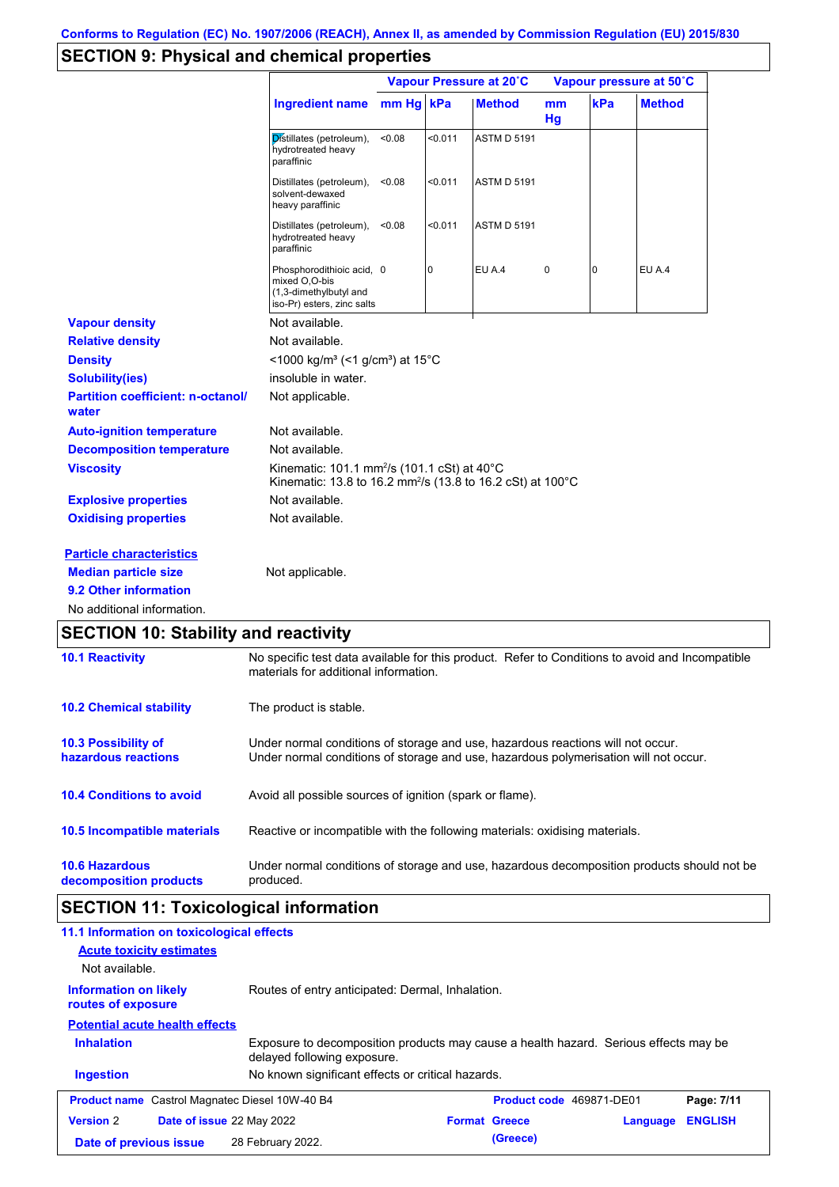## **SECTION 9: Physical and chemical properties**

|                                                   |                                                                                                                                          |           |                | Vapour Pressure at 20°C | Vapour pressure at 50°C |     |               |
|---------------------------------------------------|------------------------------------------------------------------------------------------------------------------------------------------|-----------|----------------|-------------------------|-------------------------|-----|---------------|
|                                                   | <b>Ingredient name</b>                                                                                                                   | mm Hg kPa |                | <b>Method</b>           | mm<br>Hq                | kPa | <b>Method</b> |
|                                                   | Distillates (petroleum),<br>hydrotreated heavy<br>paraffinic                                                                             | <0.08     | < 0.011        | <b>ASTM D 5191</b>      |                         |     |               |
|                                                   | Distillates (petroleum),<br>solvent-dewaxed<br>heavy paraffinic                                                                          | < 0.08    | < 0.011        | <b>ASTM D 5191</b>      |                         |     |               |
|                                                   | Distillates (petroleum),<br>hydrotreated heavy<br>paraffinic                                                                             | < 0.08    | < 0.011        | <b>ASTM D 5191</b>      |                         |     |               |
|                                                   | Phosphorodithioic acid, 0<br>mixed O.O-bis<br>(1,3-dimethylbutyl and<br>iso-Pr) esters, zinc salts                                       |           | $\overline{0}$ | EU A.4                  | 0                       | 0   | EU A.4        |
| <b>Vapour density</b>                             | Not available.                                                                                                                           |           |                |                         |                         |     |               |
| <b>Relative density</b>                           | Not available.                                                                                                                           |           |                |                         |                         |     |               |
| <b>Density</b>                                    | <1000 kg/m <sup>3</sup> (<1 g/cm <sup>3</sup> ) at 15 <sup>°</sup> C                                                                     |           |                |                         |                         |     |               |
| <b>Solubility(ies)</b>                            | insoluble in water.                                                                                                                      |           |                |                         |                         |     |               |
| <b>Partition coefficient: n-octanol/</b><br>water | Not applicable.                                                                                                                          |           |                |                         |                         |     |               |
| <b>Auto-ignition temperature</b>                  | Not available.                                                                                                                           |           |                |                         |                         |     |               |
| <b>Decomposition temperature</b>                  | Not available.                                                                                                                           |           |                |                         |                         |     |               |
| <b>Viscosity</b>                                  | Kinematic: 101.1 mm <sup>2</sup> /s (101.1 cSt) at 40°C<br>Kinematic: 13.8 to 16.2 mm <sup>2</sup> /s (13.8 to 16.2 cSt) at 100°C        |           |                |                         |                         |     |               |
| <b>Explosive properties</b>                       | Not available.                                                                                                                           |           |                |                         |                         |     |               |
| <b>Oxidising properties</b>                       | Not available.                                                                                                                           |           |                |                         |                         |     |               |
| <b>Particle characteristics</b>                   |                                                                                                                                          |           |                |                         |                         |     |               |
| <b>Median particle size</b>                       | Not applicable.                                                                                                                          |           |                |                         |                         |     |               |
| 9.2 Other information                             |                                                                                                                                          |           |                |                         |                         |     |               |
| No additional information.                        |                                                                                                                                          |           |                |                         |                         |     |               |
| <b>SECTION 10: Stability and reactivity</b>       |                                                                                                                                          |           |                |                         |                         |     |               |
| <b>10.1 Reactivity</b>                            | No specific test data available for this product. Refer to Conditions to avoid and Incompatible<br>materials for additional information. |           |                |                         |                         |     |               |
| <b>10.2 Chemical stability</b>                    | The product is stable.                                                                                                                   |           |                |                         |                         |     |               |

| <b>10.3 Possibility of</b>      | Under normal conditions of storage and use, hazardous reactions will not occur.            |
|---------------------------------|--------------------------------------------------------------------------------------------|
| hazardous reactions             | Under normal conditions of storage and use, hazardous polymerisation will not occur.       |
| <b>10.4 Conditions to avoid</b> | Avoid all possible sources of ignition (spark or flame).                                   |
| 10.5 Incompatible materials     | Reactive or incompatible with the following materials: oxidising materials.                |
| <b>10.6 Hazardous</b>           | Under normal conditions of storage and use, hazardous decomposition products should not be |
| decomposition products          | produced.                                                                                  |

# **SECTION 11: Toxicological information**

| 11.1 Information on toxicological effects<br><b>Acute toxicity estimates</b><br>Not available. |                                                                                                                     |                                 |          |                |
|------------------------------------------------------------------------------------------------|---------------------------------------------------------------------------------------------------------------------|---------------------------------|----------|----------------|
| <b>Information on likely</b><br>routes of exposure                                             | Routes of entry anticipated: Dermal, Inhalation.                                                                    |                                 |          |                |
| <b>Potential acute health effects</b>                                                          |                                                                                                                     |                                 |          |                |
| <b>Inhalation</b>                                                                              | Exposure to decomposition products may cause a health hazard. Serious effects may be<br>delayed following exposure. |                                 |          |                |
| <b>Ingestion</b>                                                                               | No known significant effects or critical hazards.                                                                   |                                 |          |                |
| <b>Product name</b> Castrol Magnatec Diesel 10W-40 B4                                          |                                                                                                                     | <b>Product code</b> 469871-DE01 |          | Page: 7/11     |
| <b>Version 2</b><br>Date of issue 22 May 2022                                                  |                                                                                                                     | <b>Format Greece</b>            | Language | <b>ENGLISH</b> |
| Date of previous issue                                                                         | 28 February 2022.                                                                                                   | (Greece)                        |          |                |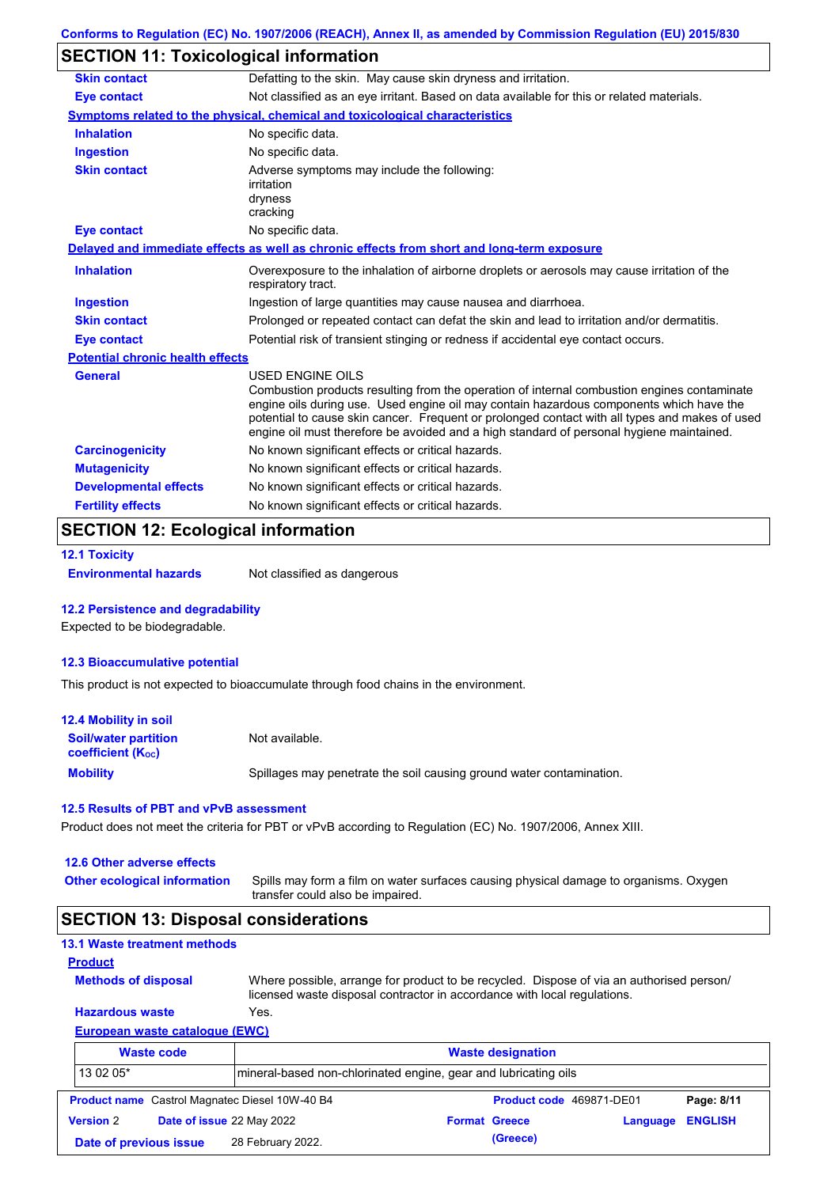### **SECTION 11: Toxicological information**

| <b>Skin contact</b>                     | Defatting to the skin. May cause skin dryness and irritation.                                                                                                                                                                                                                                                                                                                                                   |
|-----------------------------------------|-----------------------------------------------------------------------------------------------------------------------------------------------------------------------------------------------------------------------------------------------------------------------------------------------------------------------------------------------------------------------------------------------------------------|
| <b>Eye contact</b>                      | Not classified as an eye irritant. Based on data available for this or related materials.                                                                                                                                                                                                                                                                                                                       |
|                                         | Symptoms related to the physical, chemical and toxicological characteristics                                                                                                                                                                                                                                                                                                                                    |
| <b>Inhalation</b>                       | No specific data.                                                                                                                                                                                                                                                                                                                                                                                               |
| <b>Ingestion</b>                        | No specific data.                                                                                                                                                                                                                                                                                                                                                                                               |
| <b>Skin contact</b>                     | Adverse symptoms may include the following:<br>irritation<br>dryness<br>cracking                                                                                                                                                                                                                                                                                                                                |
| <b>Eye contact</b>                      | No specific data.                                                                                                                                                                                                                                                                                                                                                                                               |
|                                         | Delayed and immediate effects as well as chronic effects from short and long-term exposure                                                                                                                                                                                                                                                                                                                      |
| <b>Inhalation</b>                       | Overexposure to the inhalation of airborne droplets or aerosols may cause irritation of the<br>respiratory tract.                                                                                                                                                                                                                                                                                               |
| <b>Ingestion</b>                        | Ingestion of large quantities may cause nausea and diarrhoea.                                                                                                                                                                                                                                                                                                                                                   |
| <b>Skin contact</b>                     | Prolonged or repeated contact can defat the skin and lead to irritation and/or dermatitis.                                                                                                                                                                                                                                                                                                                      |
| <b>Eye contact</b>                      | Potential risk of transient stinging or redness if accidental eye contact occurs.                                                                                                                                                                                                                                                                                                                               |
| <b>Potential chronic health effects</b> |                                                                                                                                                                                                                                                                                                                                                                                                                 |
| <b>General</b>                          | <b>USED ENGINE OILS</b><br>Combustion products resulting from the operation of internal combustion engines contaminate<br>engine oils during use. Used engine oil may contain hazardous components which have the<br>potential to cause skin cancer. Frequent or prolonged contact with all types and makes of used<br>engine oil must therefore be avoided and a high standard of personal hygiene maintained. |
| <b>Carcinogenicity</b>                  | No known significant effects or critical hazards.                                                                                                                                                                                                                                                                                                                                                               |
| <b>Mutagenicity</b>                     | No known significant effects or critical hazards.                                                                                                                                                                                                                                                                                                                                                               |
| <b>Developmental effects</b>            | No known significant effects or critical hazards.                                                                                                                                                                                                                                                                                                                                                               |
| <b>Fertility effects</b>                | No known significant effects or critical hazards.                                                                                                                                                                                                                                                                                                                                                               |

### **SECTION 12: Ecological information**

```
12.1 Toxicity
```
**Environmental hazards** Not classified as dangerous

#### **12.2 Persistence and degradability**

Expected to be biodegradable.

#### **12.3 Bioaccumulative potential**

This product is not expected to bioaccumulate through food chains in the environment.

| <b>12.4 Mobility in soil</b>                                  |                                                                      |
|---------------------------------------------------------------|----------------------------------------------------------------------|
| <b>Soil/water partition</b><br>coefficient (K <sub>oc</sub> ) | Not available.                                                       |
| <b>Mobility</b>                                               | Spillages may penetrate the soil causing ground water contamination. |

#### **12.5 Results of PBT and vPvB assessment**

Product does not meet the criteria for PBT or vPvB according to Regulation (EC) No. 1907/2006, Annex XIII.

#### **12.6 Other adverse effects**

**Other ecological information**

Spills may form a film on water surfaces causing physical damage to organisms. Oxygen transfer could also be impaired.

### **SECTION 13: Disposal considerations**

### **13.1 Waste treatment methods**

**Methods of disposal**

**Product**

Where possible, arrange for product to be recycled. Dispose of via an authorised person/ licensed waste disposal contractor in accordance with local regulations.

### **European waste catalogue (EWC) Hazardous waste** Yes.

|                  | <b>Waste code</b>         |                                                       | <b>Waste designation</b>                                        |                          |          |                |  |  |  |
|------------------|---------------------------|-------------------------------------------------------|-----------------------------------------------------------------|--------------------------|----------|----------------|--|--|--|
| 13 02 05*        |                           |                                                       | mineral-based non-chlorinated engine, gear and lubricating oils |                          |          |                |  |  |  |
|                  |                           | <b>Product name</b> Castrol Magnatec Diesel 10W-40 B4 |                                                                 | Product code 469871-DE01 |          | Page: 8/11     |  |  |  |
| <b>Version 2</b> | Date of issue 22 May 2022 |                                                       | <b>Format Greece</b>                                            |                          | Language | <b>ENGLISH</b> |  |  |  |
|                  | Date of previous issue    | 28 February 2022.                                     |                                                                 | (Greece)                 |          |                |  |  |  |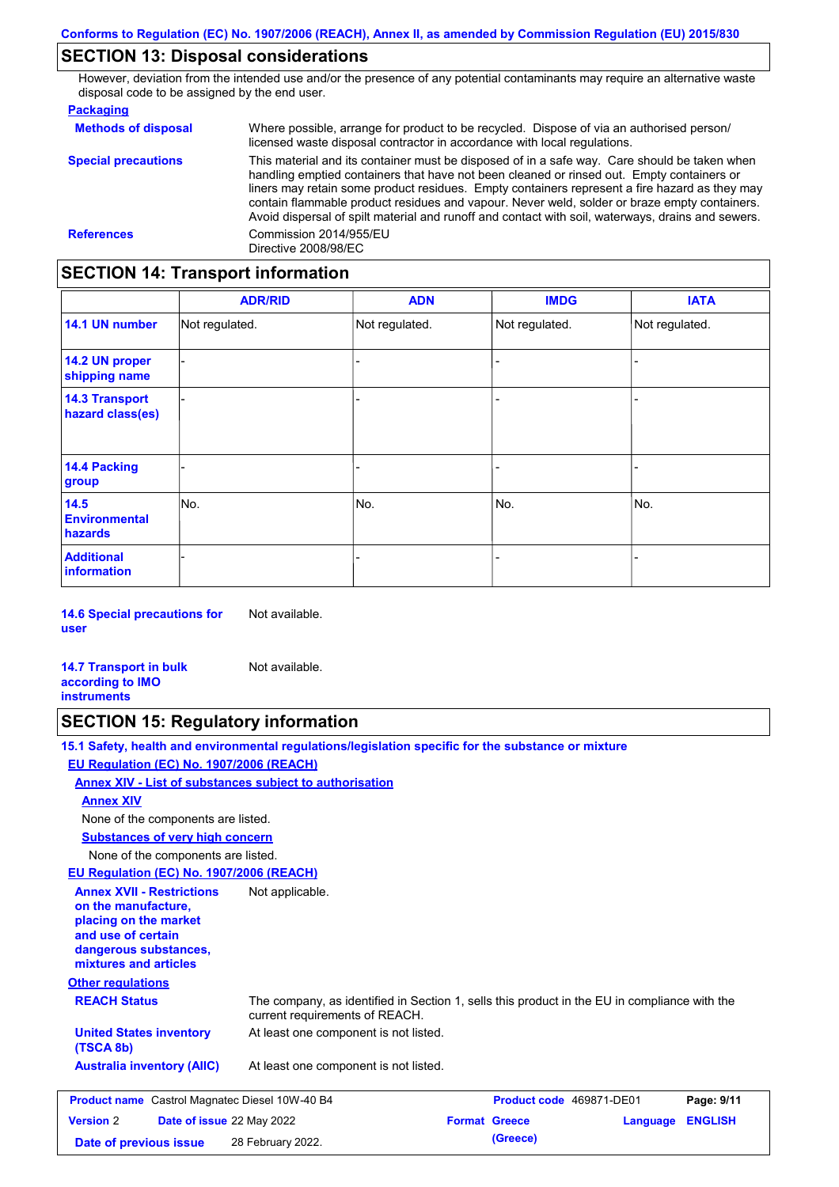### **SECTION 13: Disposal considerations**

However, deviation from the intended use and/or the presence of any potential contaminants may require an alternative waste disposal code to be assigned by the end user.

| <b>Packaging</b>           |                                                                                                                                                                                                                                                                                                                                                                                                                                                                                                 |
|----------------------------|-------------------------------------------------------------------------------------------------------------------------------------------------------------------------------------------------------------------------------------------------------------------------------------------------------------------------------------------------------------------------------------------------------------------------------------------------------------------------------------------------|
| <b>Methods of disposal</b> | Where possible, arrange for product to be recycled. Dispose of via an authorised person/<br>licensed waste disposal contractor in accordance with local regulations.                                                                                                                                                                                                                                                                                                                            |
| <b>Special precautions</b> | This material and its container must be disposed of in a safe way. Care should be taken when<br>handling emptied containers that have not been cleaned or rinsed out. Empty containers or<br>liners may retain some product residues. Empty containers represent a fire hazard as they may<br>contain flammable product residues and vapour. Never weld, solder or braze empty containers.<br>Avoid dispersal of spilt material and runoff and contact with soil, waterways, drains and sewers. |
| <b>References</b>          | Commission 2014/955/EU<br>Directive 2008/98/EC                                                                                                                                                                                                                                                                                                                                                                                                                                                  |

## **SECTION 14: Transport information**

|                                           | <b>ADR/RID</b> | <b>ADN</b>     | <b>IMDG</b>    | <b>IATA</b>    |
|-------------------------------------------|----------------|----------------|----------------|----------------|
| 14.1 UN number                            | Not regulated. | Not regulated. | Not regulated. | Not regulated. |
| 14.2 UN proper<br>shipping name           |                |                |                |                |
| <b>14.3 Transport</b><br>hazard class(es) |                |                |                |                |
| <b>14.4 Packing</b><br>group              |                |                |                |                |
| 14.5<br><b>Environmental</b><br>hazards   | No.            | No.            | No.            | No.            |
| <b>Additional</b><br>information          |                |                |                |                |

**14.6 Special precautions for user** Not available.

**14.7 Transport in bulk according to IMO instruments** Not available.

### **SECTION 15: Regulatory information**

**15.1 Safety, health and environmental regulations/legislation specific for the substance or mixture EU Regulation (EC) No. 1907/2006 (REACH)**

**Date of previous issue (Greece)** 28 February 2022.

**Annex XIV - List of substances subject to authorisation**

**Annex XIV**

None of the components are listed.

**Substances of very high concern**

None of the components are listed.

**EU Regulation (EC) No. 1907/2006 (REACH)**

| <b>Annex XVII - Restrictions</b><br>on the manufacture.<br>placing on the market<br>and use of certain<br>dangerous substances,<br>mixtures and articles | Not applicable.                                                                                                                |                          |          |                |  |
|----------------------------------------------------------------------------------------------------------------------------------------------------------|--------------------------------------------------------------------------------------------------------------------------------|--------------------------|----------|----------------|--|
| <b>Other regulations</b>                                                                                                                                 |                                                                                                                                |                          |          |                |  |
| <b>REACH Status</b>                                                                                                                                      | The company, as identified in Section 1, sells this product in the EU in compliance with the<br>current requirements of REACH. |                          |          |                |  |
| <b>United States inventory</b><br>(TSCA 8b)                                                                                                              | At least one component is not listed.                                                                                          |                          |          |                |  |
| <b>Australia inventory (AIIC)</b>                                                                                                                        | At least one component is not listed.                                                                                          |                          |          |                |  |
| <b>Product name</b> Castrol Magnatec Diesel 10W-40 B4                                                                                                    |                                                                                                                                | Product code 469871-DE01 |          | Page: 9/11     |  |
| <b>Version 2</b><br><b>Date of issue 22 May 2022</b>                                                                                                     |                                                                                                                                | <b>Format Greece</b>     | Language | <b>ENGLISH</b> |  |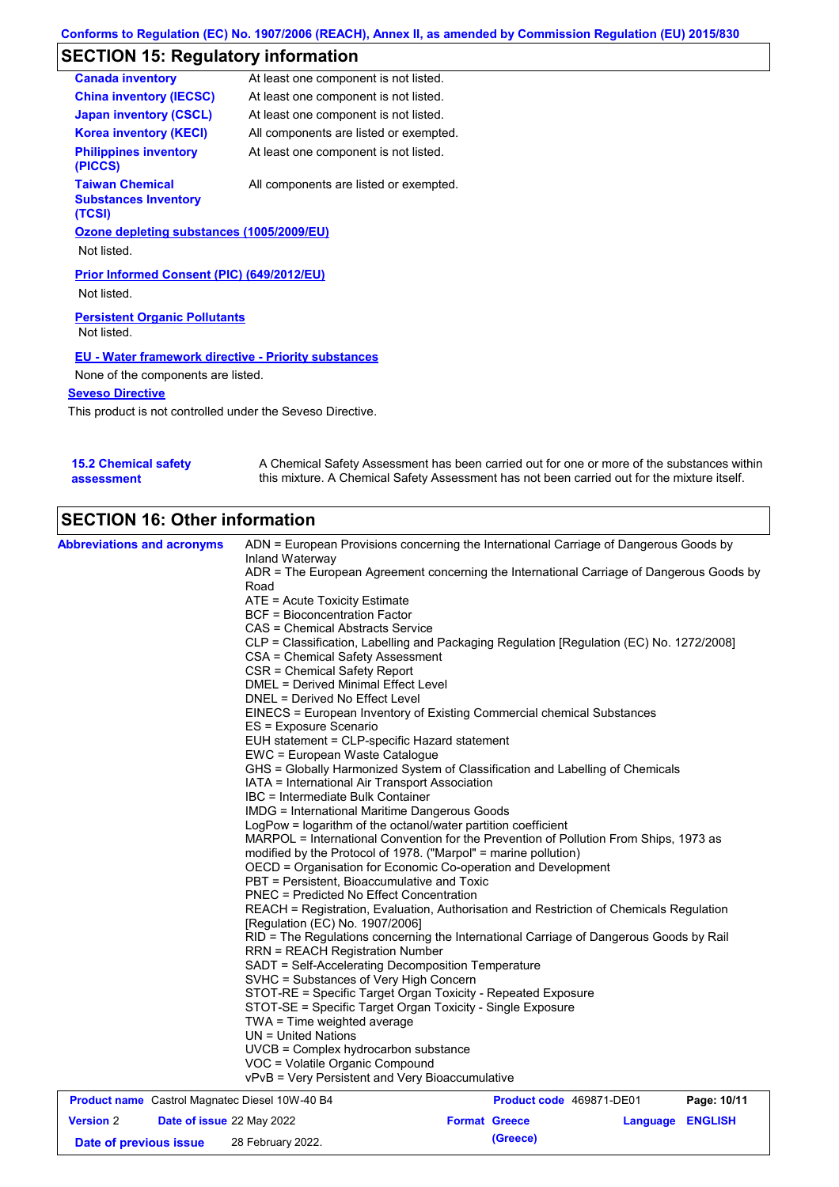# **SECTION 15: Regulatory information**

| <b>Canada inventory</b>                                         | At least one component is not listed.  |
|-----------------------------------------------------------------|----------------------------------------|
| <b>China inventory (IECSC)</b>                                  | At least one component is not listed.  |
| <b>Japan inventory (CSCL)</b>                                   | At least one component is not listed.  |
| <b>Korea inventory (KECI)</b>                                   | All components are listed or exempted. |
| <b>Philippines inventory</b><br>(PICCS)                         | At least one component is not listed.  |
| <b>Taiwan Chemical</b><br><b>Substances Inventory</b><br>(TCSI) | All components are listed or exempted. |
| Ozone depleting substances (1005/2009/EU)                       |                                        |
| Not listed.                                                     |                                        |
| Prior Informed Consent (PIC) (649/2012/EU)                      |                                        |
| Not listed.                                                     |                                        |
| <b>Persistent Organic Pollutants</b>                            |                                        |
| Not listed.                                                     |                                        |
| <b>EU - Water framework directive - Priority substances</b>     |                                        |
| None of the components are listed.                              |                                        |
| <b>Seveso Directive</b>                                         |                                        |
|                                                                 |                                        |

This product is not controlled under the Seveso Directive.

| <b>15.2 Chemical safety</b> | A Chemical Safety Assessment has been carried out for one or more of the substances within  |
|-----------------------------|---------------------------------------------------------------------------------------------|
| assessment                  | this mixture. A Chemical Safety Assessment has not been carried out for the mixture itself. |

# **SECTION 16: Other information**

| <b>Abbreviations and acronyms</b>                     |                                                                        | ADN = European Provisions concerning the International Carriage of Dangerous Goods by    |             |
|-------------------------------------------------------|------------------------------------------------------------------------|------------------------------------------------------------------------------------------|-------------|
|                                                       | Inland Waterway                                                        |                                                                                          |             |
|                                                       | Road                                                                   | ADR = The European Agreement concerning the International Carriage of Dangerous Goods by |             |
|                                                       | ATE = Acute Toxicity Estimate                                          |                                                                                          |             |
|                                                       | <b>BCF</b> = Bioconcentration Factor                                   |                                                                                          |             |
|                                                       | CAS = Chemical Abstracts Service                                       |                                                                                          |             |
|                                                       |                                                                        | CLP = Classification, Labelling and Packaging Regulation [Regulation (EC) No. 1272/2008] |             |
|                                                       | CSA = Chemical Safety Assessment                                       |                                                                                          |             |
|                                                       | CSR = Chemical Safety Report                                           |                                                                                          |             |
|                                                       | <b>DMEL = Derived Minimal Effect Level</b>                             |                                                                                          |             |
|                                                       | DNEL = Derived No Effect Level                                         |                                                                                          |             |
|                                                       | EINECS = European Inventory of Existing Commercial chemical Substances |                                                                                          |             |
|                                                       | ES = Exposure Scenario                                                 |                                                                                          |             |
|                                                       | EUH statement = CLP-specific Hazard statement                          |                                                                                          |             |
|                                                       | EWC = European Waste Catalogue                                         |                                                                                          |             |
|                                                       |                                                                        | GHS = Globally Harmonized System of Classification and Labelling of Chemicals            |             |
|                                                       | IATA = International Air Transport Association                         |                                                                                          |             |
|                                                       | IBC = Intermediate Bulk Container                                      |                                                                                          |             |
|                                                       | <b>IMDG = International Maritime Dangerous Goods</b>                   |                                                                                          |             |
|                                                       | LogPow = logarithm of the octanol/water partition coefficient          |                                                                                          |             |
|                                                       |                                                                        | MARPOL = International Convention for the Prevention of Pollution From Ships, 1973 as    |             |
|                                                       | modified by the Protocol of 1978. ("Marpol" = marine pollution)        |                                                                                          |             |
|                                                       | OECD = Organisation for Economic Co-operation and Development          |                                                                                          |             |
|                                                       | PBT = Persistent, Bioaccumulative and Toxic                            |                                                                                          |             |
|                                                       | <b>PNEC = Predicted No Effect Concentration</b>                        |                                                                                          |             |
|                                                       | [Regulation (EC) No. 1907/2006]                                        | REACH = Registration, Evaluation, Authorisation and Restriction of Chemicals Regulation  |             |
|                                                       |                                                                        | RID = The Regulations concerning the International Carriage of Dangerous Goods by Rail   |             |
|                                                       | <b>RRN = REACH Registration Number</b>                                 |                                                                                          |             |
|                                                       | SADT = Self-Accelerating Decomposition Temperature                     |                                                                                          |             |
|                                                       | SVHC = Substances of Very High Concern                                 |                                                                                          |             |
|                                                       | STOT-RE = Specific Target Organ Toxicity - Repeated Exposure           |                                                                                          |             |
|                                                       | STOT-SE = Specific Target Organ Toxicity - Single Exposure             |                                                                                          |             |
|                                                       | $TWA = Time$ weighted average                                          |                                                                                          |             |
|                                                       | $UN = United Nations$                                                  |                                                                                          |             |
|                                                       | UVCB = Complex hydrocarbon substance                                   |                                                                                          |             |
|                                                       | VOC = Volatile Organic Compound                                        |                                                                                          |             |
|                                                       | vPvB = Very Persistent and Very Bioaccumulative                        |                                                                                          |             |
| <b>Product name</b> Castrol Magnatec Diesel 10W-40 B4 |                                                                        | Product code 469871-DE01                                                                 | Page: 10/11 |

| <b>Product name</b> Castrol Magnated Diesel T0W-40 B4 |  | <b>Product code</b> 4090/1-DEVI  |  | Page: 10/11          |                  |  |
|-------------------------------------------------------|--|----------------------------------|--|----------------------|------------------|--|
| <b>Version 2</b>                                      |  | <b>Date of issue 22 May 2022</b> |  | <b>Format Greece</b> | Language ENGLISH |  |
| Date of previous issue                                |  | 28 February 2022.                |  | (Greece)             |                  |  |